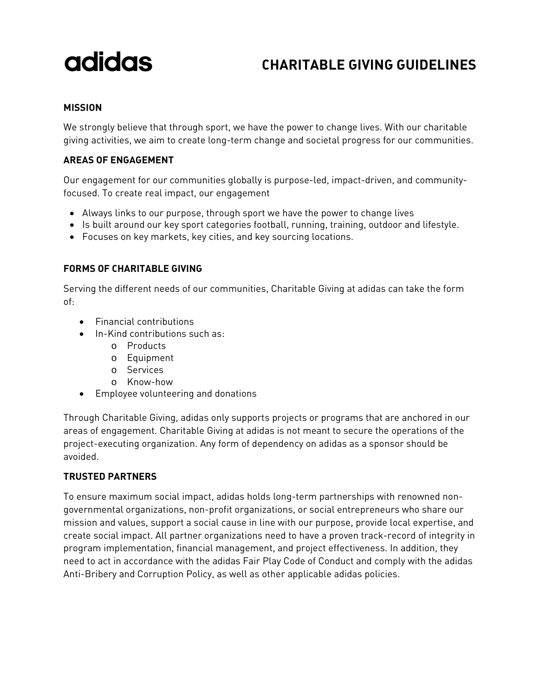# adidas

### **CHARITABLE GIVING GUIDELINES**

#### **MISSION**

We strongly believe that through sport, we have the power to change lives. With our charitable giving activities, we aim to create long-term change and societal progress for our communities.

#### **AREAS OF ENGAGEMENT**

Our engagement for our communities globally is purpose-led, impact-driven, and communityfocused. To create real impact, our engagement

- Always links to our purpose, through sport we have the power to change lives
- Is built around our key sport categories football, running, training, outdoor and lifestyle.
- Focuses on key markets, key cities, and key sourcing locations.

#### **FORMS OF CHARITABLE GIVING**

Serving the different needs of our communities, Charitable Giving at adidas can take the form of:

- Financial contributions
- In-Kind contributions such as:
	- o Products
	- o Equipment
	- o Services
	- o Know-how
- Employee volunteering and donations

Through Charitable Giving, adidas only supports projects or programs that are anchored in our areas of engagement. Charitable Giving at adidas is not meant to secure the operations of the project-executing organization. Any form of dependency on adidas as a sponsor should be avoided.

#### **TRUSTED PARTNERS**

To ensure maximum social impact, adidas holds long-term partnerships with renowned nongovernmental organizations, non-profit organizations, or social entrepreneurs who share our mission and values, support a social cause in line with our purpose, provide local expertise, and create social impact. All partner organizations need to have a proven track-record of integrity in program implementation, financial management, and project effectiveness. In addition, they need to act in accordance with the adidas Fair Play Code of Conduct and comply with the adidas Anti-Bribery and Corruption Policy, as well as other applicable adidas policies.